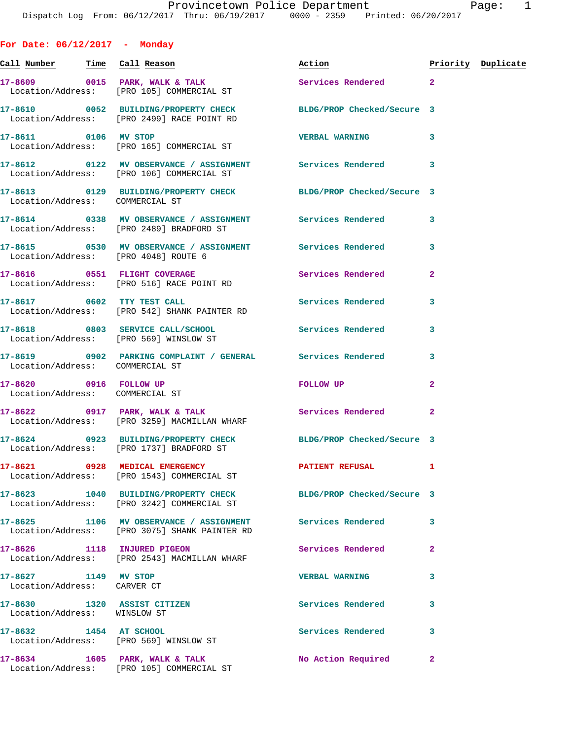**For Date: 06/12/2017 - Monday Call Number Time Call Reason Action Priority Duplicate 17-8609 0015 PARK, WALK & TALK Services Rendered 2**  Location/Address: [PRO 105] COMMERCIAL ST **17-8610 0052 BUILDING/PROPERTY CHECK BLDG/PROP Checked/Secure 3**  Location/Address: [PRO 2499] RACE POINT RD **17-8611 0106 MV STOP VERBAL WARNING 3**  Location/Address: [PRO 165] COMMERCIAL ST **17-8612 0122 MV OBSERVANCE / ASSIGNMENT Services Rendered 3**  Location/Address: [PRO 106] COMMERCIAL ST **17-8613 0129 BUILDING/PROPERTY CHECK BLDG/PROP Checked/Secure 3**  Location/Address: COMMERCIAL ST **17-8614 0338 MV OBSERVANCE / ASSIGNMENT Services Rendered 3**  Location/Address: [PRO 2489] BRADFORD ST **17-8615 0530 MV OBSERVANCE / ASSIGNMENT Services Rendered 3**  Location/Address: [PRO 4048] ROUTE 6 **17-8616 0551 FLIGHT COVERAGE Services Rendered 2**  Location/Address: [PRO 516] RACE POINT RD **17-8617 0602 TTY TEST CALL Services Rendered 3**  Location/Address: [PRO 542] SHANK PAINTER RD **17-8618 0803 SERVICE CALL/SCHOOL Services Rendered 3**  Location/Address: [PRO 569] WINSLOW ST **17-8619 0902 PARKING COMPLAINT / GENERAL Services Rendered 3**  Location/Address: COMMERCIAL ST **17-8620 0916 FOLLOW UP FOLLOW UP 2**  Location/Address: COMMERCIAL ST **17-8622 0917 PARK, WALK & TALK Services Rendered 2**  Location/Address: [PRO 3259] MACMILLAN WHARF **17-8624 0923 BUILDING/PROPERTY CHECK BLDG/PROP Checked/Secure 3**  Location/Address: [PRO 1737] BRADFORD ST **17-8621 0928 MEDICAL EMERGENCY PATIENT REFUSAL 1**  Location/Address: [PRO 1543] COMMERCIAL ST **17-8623 1040 BUILDING/PROPERTY CHECK BLDG/PROP Checked/Secure 3**  Location/Address: [PRO 3242] COMMERCIAL ST **17-8625 1106 MV OBSERVANCE / ASSIGNMENT Services Rendered 3**  Location/Address: [PRO 3075] SHANK PAINTER RD **17-8626 1118 INJURED PIGEON Services Rendered 2**  Location/Address: [PRO 2543] MACMILLAN WHARF **17-8627 1149 MV STOP VERBAL WARNING 3**  Location/Address: CARVER CT **17-8630 1320 ASSIST CITIZEN Services Rendered 3**  Location/Address: WINSLOW ST **17-8632 1454 AT SCHOOL Services Rendered 3**  Location/Address: [PRO 569] WINSLOW ST **17-8634 1605 PARK, WALK & TALK No Action Required 2** 

Location/Address: [PRO 105] COMMERCIAL ST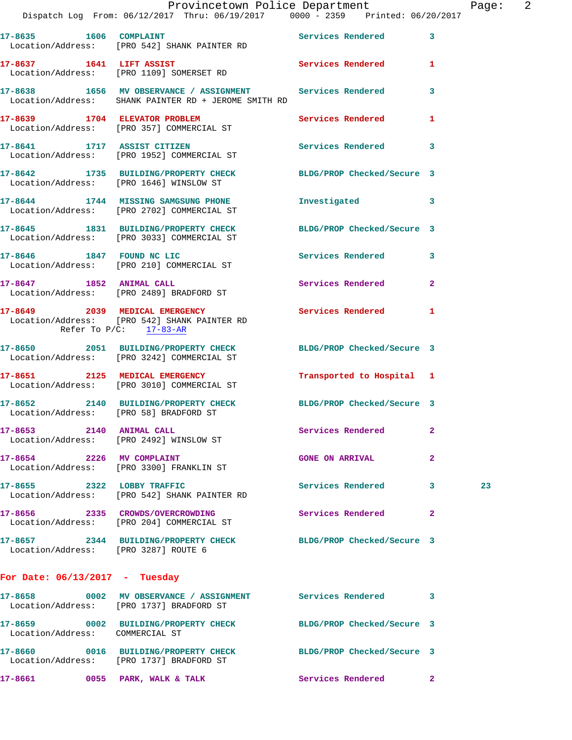|                                      | Provincetown Police Department                                                                                    |                           |                | Page: 2 |  |
|--------------------------------------|-------------------------------------------------------------------------------------------------------------------|---------------------------|----------------|---------|--|
|                                      | Dispatch Log From: 06/12/2017 Thru: 06/19/2017 0000 - 2359 Printed: 06/20/2017                                    |                           |                |         |  |
|                                      | 17-8635 1606 COMPLAINT Services Rendered 3<br>Location/Address: [PRO 542] SHANK PAINTER RD                        |                           |                |         |  |
|                                      | 17-8637 1641 LIFT ASSIST 17-8637 Services Rendered 1<br>Location/Address: [PRO 1109] SOMERSET RD                  |                           |                |         |  |
|                                      | 17-8638 1656 MV OBSERVANCE / ASSIGNMENT Services Rendered<br>Location/Address: SHANK PAINTER RD + JEROME SMITH RD |                           | 3              |         |  |
|                                      | 17-8639 1704 ELEVATOR PROBLEM<br>Location/Address: [PRO 357] COMMERCIAL ST                                        | Services Rendered 1       |                |         |  |
|                                      | 17-8641 1717 ASSIST CITIZEN<br>Location/Address: [PRO 1952] COMMERCIAL ST                                         | Services Rendered 3       |                |         |  |
|                                      | 17-8642 1735 BUILDING/PROPERTY CHECK BLDG/PROP Checked/Secure 3<br>Location/Address: [PRO 1646] WINSLOW ST        |                           |                |         |  |
|                                      | 17-8644 1744 MISSING SAMGSUNG PHONE<br>Location/Address: [PRO 2702] COMMERCIAL ST                                 | Investigated 3            |                |         |  |
|                                      | 17-8645 1831 BUILDING/PROPERTY CHECK BLDG/PROP Checked/Secure 3<br>Location/Address: [PRO 3033] COMMERCIAL ST     |                           |                |         |  |
|                                      | 17-8646 1847 FOUND NC LIC<br>Location/Address: [PRO 210] COMMERCIAL ST                                            | Services Rendered 3       |                |         |  |
|                                      | 17-8647 1852 ANIMAL CALL<br>Location/Address: [PRO 2489] BRADFORD ST                                              | Services Rendered         | $\overline{2}$ |         |  |
| Refer To $P/C$ : 17-83-AR            | 17-8649 2039 MEDICAL EMERGENCY Services Rendered 1<br>Location/Address: [PRO 542] SHANK PAINTER RD                |                           |                |         |  |
|                                      | 17-8650 2051 BUILDING/PROPERTY CHECK BLDG/PROP Checked/Secure 3<br>Location/Address: [PRO 3242] COMMERCIAL ST     |                           |                |         |  |
|                                      | 17-8651 2125 MEDICAL EMERGENCY<br>Location/Address: [PRO 3010] COMMERCIAL ST                                      | Transported to Hospital 1 |                |         |  |
|                                      | 17-8652 2140 BUILDING/PROPERTY CHECK BLDG/PROP Checked/Secure 3<br>Location/Address: [PRO 58] BRADFORD ST         |                           |                |         |  |
|                                      | 17-8653 2140 ANIMAL CALL<br>Location/Address: [PRO 2492] WINSLOW ST                                               | Services Rendered         | $\mathbf{2}$   |         |  |
|                                      | 17-8654 2226 MV COMPLAINT<br>Location/Address: [PRO 3300] FRANKLIN ST                                             | <b>GONE ON ARRIVAL</b>    | $\mathbf{2}$   |         |  |
| 17-8655 2322 LOBBY TRAFFIC           | Location/Address: [PRO 542] SHANK PAINTER RD                                                                      | Services Rendered 3       |                | 23      |  |
|                                      | 17-8656 2335 CROWDS/OVERCROWDING<br>Location/Address: [PRO 204] COMMERCIAL ST                                     | Services Rendered         | $\mathbf{2}$   |         |  |
| Location/Address: [PRO 3287] ROUTE 6 | 17-8657 2344 BUILDING/PROPERTY CHECK BLDG/PROP Checked/Secure 3                                                   |                           |                |         |  |
| For Date: $06/13/2017$ - Tuesday     |                                                                                                                   |                           |                |         |  |
|                                      | 17-8658 0002 MV OBSERVANCE / ASSIGNMENT Services Rendered 3<br>Location/Address: [PRO 1737] BRADFORD ST           |                           |                |         |  |
| Location/Address: COMMERCIAL ST      | 17-8659 0002 BUILDING/PROPERTY CHECK BLDG/PROP Checked/Secure 3                                                   |                           |                |         |  |
|                                      | 17-8660 0016 BUILDING/PROPERTY CHECK BLDG/PROP Checked/Secure 3<br>Location/Address: [PRO 1737] BRADFORD ST       |                           |                |         |  |
|                                      | 17-8661 0055 PARK, WALK & TALK                                                                                    | Services Rendered 2       |                |         |  |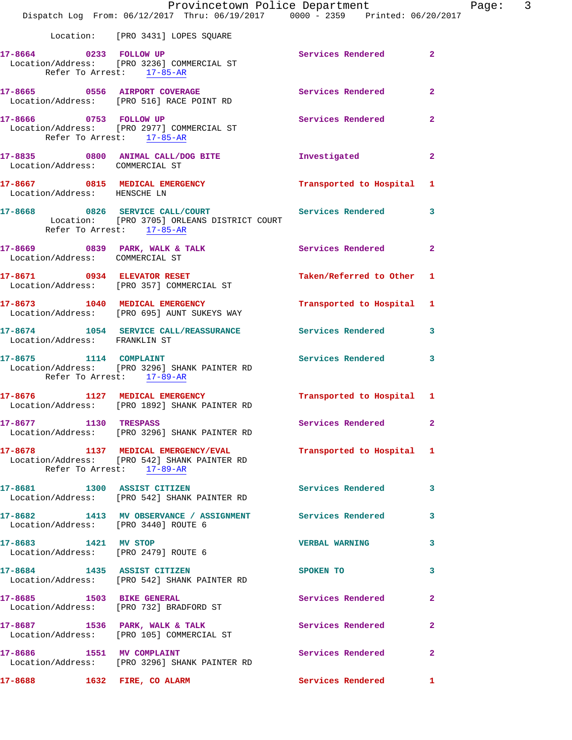|                                                              | Provincetown Police Department<br>Dispatch Log From: 06/12/2017 Thru: 06/19/2017 0000 - 2359 Printed: 06/20/2017 |                           |                |
|--------------------------------------------------------------|------------------------------------------------------------------------------------------------------------------|---------------------------|----------------|
|                                                              | Location: [PRO 3431] LOPES SQUARE                                                                                |                           |                |
| 17-8664 0233 FOLLOW UP                                       | Location/Address: [PRO 3236] COMMERCIAL ST<br>Refer To Arrest: 17-85-AR                                          | Services Rendered         | $\mathbf{2}$   |
|                                                              | 17-8665 0556 AIRPORT COVERAGE<br>Location/Address: [PRO 516] RACE POINT RD                                       | <b>Services Rendered</b>  | $\overline{2}$ |
| 17-8666 0753 FOLLOW UP<br>Refer To Arrest: 17-85-AR          | Location/Address: [PRO 2977] COMMERCIAL ST                                                                       | Services Rendered         | $\overline{a}$ |
| Location/Address: COMMERCIAL ST                              | 17-8835 0800 ANIMAL CALL/DOG BITE                                                                                | Investigated              | $\overline{2}$ |
| Location/Address: HENSCHE LN                                 | 17-8667 0815 MEDICAL EMERGENCY                                                                                   | Transported to Hospital   | 1              |
| Refer To Arrest: 17-85-AR                                    | 17-8668 6826 SERVICE CALL/COURT Services Rendered<br>Location: [PRO 3705] ORLEANS DISTRICT COURT                 |                           | 3              |
| Location/Address: COMMERCIAL ST                              | 17-8669 0839 PARK, WALK & TALK 1988 Services Rendered                                                            |                           | $\mathbf{2}$   |
|                                                              | 17-8671 0934 ELEVATOR RESET<br>Location/Address: [PRO 357] COMMERCIAL ST                                         | Taken/Referred to Other   | 1              |
|                                                              | 17-8673 1040 MEDICAL EMERGENCY<br>Location/Address: [PRO 695] AUNT SUKEYS WAY                                    | Transported to Hospital   | 1              |
| Location/Address: FRANKLIN ST                                | 17-8674 1054 SERVICE CALL/REASSURANCE Services Rendered                                                          |                           | 3              |
| Refer To Arrest: 17-89-AR                                    | 17-8675 1114 COMPLAINT<br>Location/Address: [PRO 3296] SHANK PAINTER RD                                          | Services Rendered         | 3              |
|                                                              | 17-8676 1127 MEDICAL EMERGENCY<br>Location/Address: [PRO 1892] SHANK PAINTER RD                                  | Transported to Hospital 1 |                |
| 17-8677 1130 TRESPASS                                        | Location/Address: [PRO 3296] SHANK PAINTER RD                                                                    | Services Rendered         | $\mathbf{2}$   |
|                                                              | 17-8678 1137 MEDICAL EMERGENCY/EVAL<br>Location/Address: [PRO 542] SHANK PAINTER RD<br>Refer To Arrest: 17-89-AR | Transported to Hospital 1 |                |
|                                                              | 17-8681 1300 ASSIST CITIZEN<br>Location/Address: [PRO 542] SHANK PAINTER RD                                      | <b>Services Rendered</b>  | 3              |
| Location/Address: [PRO 3440] ROUTE 6                         | 17-8682 1413 MV OBSERVANCE / ASSIGNMENT Services Rendered                                                        |                           | 3              |
| 17-8683 1421 MV STOP<br>Location/Address: [PRO 2479] ROUTE 6 |                                                                                                                  | <b>VERBAL WARNING</b>     | 3              |
| 17-8684 1435 ASSIST CITIZEN                                  | Location/Address: [PRO 542] SHANK PAINTER RD                                                                     | SPOKEN TO                 | 3              |
|                                                              | 17-8685 1503 BIKE GENERAL<br>Location/Address: [PRO 732] BRADFORD ST                                             | Services Rendered         | 2              |
|                                                              | 17-8687 1536 PARK, WALK & TALK<br>Location/Address: [PRO 105] COMMERCIAL ST                                      | <b>Services Rendered</b>  | $\mathbf{2}$   |
| 17-8686 1551 MV COMPLAINT                                    | Location/Address: [PRO 3296] SHANK PAINTER RD                                                                    | Services Rendered         | 2              |
| 17-8688 1632 FIRE, CO ALARM                                  |                                                                                                                  | Services Rendered         | 1              |

Page: 3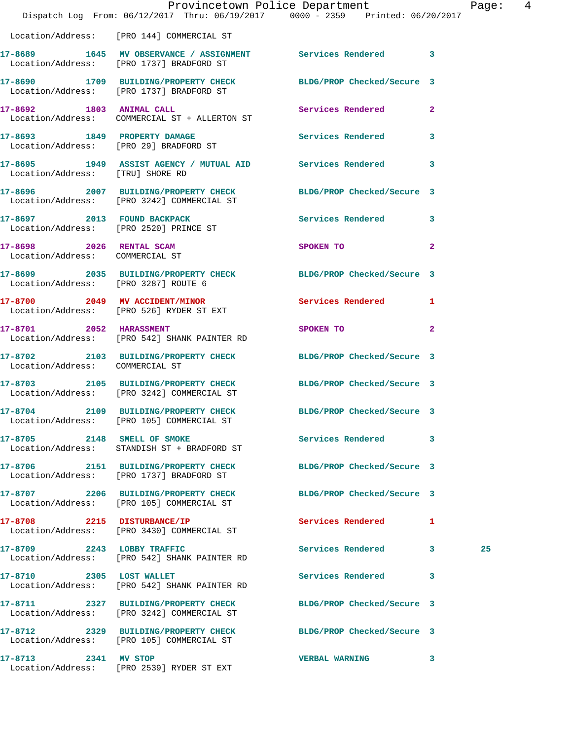|                                                             | Dispatch Log From: 06/12/2017 Thru: 06/19/2017 0000 - 2359 Printed: 06/20/2017                                | Provincetown Police Department                                                                                                                                                                                                |                            | Page:  4 |  |
|-------------------------------------------------------------|---------------------------------------------------------------------------------------------------------------|-------------------------------------------------------------------------------------------------------------------------------------------------------------------------------------------------------------------------------|----------------------------|----------|--|
|                                                             | Location/Address: [PRO 144] COMMERCIAL ST                                                                     |                                                                                                                                                                                                                               |                            |          |  |
|                                                             | 17-8689 1645 MV OBSERVANCE / ASSIGNMENT Services Rendered 3<br>Location/Address: [PRO 1737] BRADFORD ST       |                                                                                                                                                                                                                               |                            |          |  |
|                                                             | 17-8690 1709 BUILDING/PROPERTY CHECK BLDG/PROP Checked/Secure 3<br>Location/Address: [PRO 1737] BRADFORD ST   |                                                                                                                                                                                                                               |                            |          |  |
|                                                             | 17-8692 1803 ANIMAL CALL<br>Location/Address: COMMERCIAL ST + ALLERTON ST                                     | Services Rendered 2                                                                                                                                                                                                           |                            |          |  |
|                                                             | 17-8693 1849 PROPERTY DAMAGE Services Rendered 3<br>Location/Address: [PRO 29] BRADFORD ST                    |                                                                                                                                                                                                                               |                            |          |  |
| Location/Address: [TRU] SHORE RD                            | 17-8695 1949 ASSIST AGENCY / MUTUAL AID Services Rendered 3                                                   |                                                                                                                                                                                                                               |                            |          |  |
|                                                             | 17-8696 2007 BUILDING/PROPERTY CHECK BLDG/PROP Checked/Secure 3<br>Location/Address: [PRO 3242] COMMERCIAL ST |                                                                                                                                                                                                                               |                            |          |  |
|                                                             | 17-8697 2013 FOUND BACKPACK<br>Location/Address: [PRO 2520] PRINCE ST                                         | Services Rendered 3                                                                                                                                                                                                           |                            |          |  |
| 17-8698 2026 RENTAL SCAM<br>Location/Address: COMMERCIAL ST |                                                                                                               | SPOKEN TO                                                                                                                                                                                                                     | $\overline{2}$             |          |  |
| Location/Address: [PRO 3287] ROUTE 6                        | 17-8699 2035 BUILDING/PROPERTY CHECK BLDG/PROP Checked/Secure 3                                               |                                                                                                                                                                                                                               |                            |          |  |
|                                                             | 17-8700 2049 MV ACCIDENT/MINOR<br>Location/Address: [PRO 526] RYDER ST EXT                                    | Services Rendered 1                                                                                                                                                                                                           |                            |          |  |
| 17-8701 2052 HARASSMENT                                     | Location/Address: [PRO 542] SHANK PAINTER RD                                                                  | SPOKEN TO THE STATE OF THE STATE OF THE STATE OF THE STATE OF THE STATE OF THE STATE OF THE STATE OF THE STATE OF THE STATE OF THE STATE OF THE STATE OF THE STATE OF THE STATE OF THE STATE OF THE STATE OF THE STATE OF THE | $\overline{\phantom{0}}$ 2 |          |  |
| Location/Address: COMMERCIAL ST                             | 17-8702 2103 BUILDING/PROPERTY CHECK                                                                          | BLDG/PROP Checked/Secure 3                                                                                                                                                                                                    |                            |          |  |
|                                                             | 17-8703 2105 BUILDING/PROPERTY CHECK BLDG/PROP Checked/Secure 3<br>Location/Address: [PRO 3242] COMMERCIAL ST |                                                                                                                                                                                                                               |                            |          |  |
| 17-8704                                                     | 2109 BUILDING/PROPERTY CHECK<br>Location/Address: [PRO 105] COMMERCIAL ST                                     | BLDG/PROP Checked/Secure 3                                                                                                                                                                                                    |                            |          |  |
| 17-8705 2148 SMELL OF SMOKE                                 | Location/Address: STANDISH ST + BRADFORD ST                                                                   | Services Rendered 3                                                                                                                                                                                                           |                            |          |  |
|                                                             | 17-8706 2151 BUILDING/PROPERTY CHECK<br>Location/Address: [PRO 1737] BRADFORD ST                              | BLDG/PROP Checked/Secure 3                                                                                                                                                                                                    |                            |          |  |
|                                                             | 17-8707 2206 BUILDING/PROPERTY CHECK<br>Location/Address: [PRO 105] COMMERCIAL ST                             | BLDG/PROP Checked/Secure 3                                                                                                                                                                                                    |                            |          |  |
|                                                             | 17-8708 2215 DISTURBANCE/IP<br>Location/Address: [PRO 3430] COMMERCIAL ST                                     | Services Rendered 1                                                                                                                                                                                                           |                            |          |  |
|                                                             | 17-8709 2243 LOBBY TRAFFIC<br>Location/Address: [PRO 542] SHANK PAINTER RD                                    | Services Rendered 3                                                                                                                                                                                                           |                            | 25       |  |
| 17-8710 2305 LOST WALLET                                    | Location/Address: [PRO 542] SHANK PAINTER RD                                                                  | Services Rendered 3                                                                                                                                                                                                           |                            |          |  |
|                                                             | 17-8711 2327 BUILDING/PROPERTY CHECK<br>Location/Address: [PRO 3242] COMMERCIAL ST                            | BLDG/PROP Checked/Secure 3                                                                                                                                                                                                    |                            |          |  |
|                                                             | 17-8712 2329 BUILDING/PROPERTY CHECK<br>Location/Address: [PRO 105] COMMERCIAL ST                             | BLDG/PROP Checked/Secure 3                                                                                                                                                                                                    |                            |          |  |
| 17-8713 2341 MV STOP                                        | Location/Address: [PRO 2539] RYDER ST EXT                                                                     | VERBAL WARNING 3                                                                                                                                                                                                              |                            |          |  |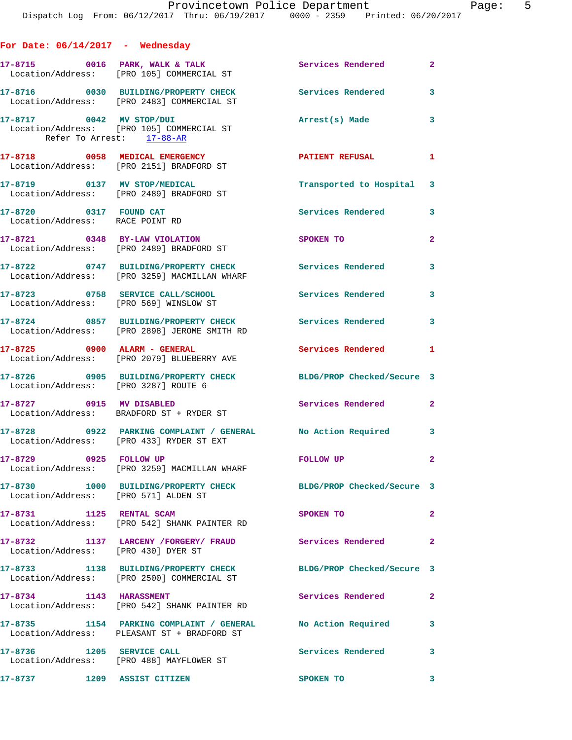| For Date: $06/14/2017$ - Wednesday                        |                                                                                                            |                            |                |
|-----------------------------------------------------------|------------------------------------------------------------------------------------------------------------|----------------------------|----------------|
|                                                           | 17-8715 0016 PARK, WALK & TALK<br>Location/Address: [PRO 105] COMMERCIAL ST                                | Services Rendered          | $\overline{a}$ |
|                                                           | 17-8716 0030 BUILDING/PROPERTY CHECK<br>Location/Address: [PRO 2483] COMMERCIAL ST                         | Services Rendered          | 3              |
| 17-8717 0042 MV STOP/DUI                                  | Location/Address: [PRO 105] COMMERCIAL ST<br>Refer To Arrest: 17-88-AR                                     | Arrest(s) Made             | 3              |
|                                                           | 17-8718 0058 MEDICAL EMERGENCY<br>Location/Address: [PRO 2151] BRADFORD ST                                 | PATIENT REFUSAL            | 1              |
|                                                           | 17-8719 0137 MV STOP/MEDICAL<br>Location/Address: [PRO 2489] BRADFORD ST                                   | Transported to Hospital    | 3              |
| 17-8720 0317 FOUND CAT<br>Location/Address: RACE POINT RD |                                                                                                            | <b>Services Rendered</b>   | 3              |
|                                                           | 17-8721 0348 BY-LAW VIOLATION<br>Location/Address: [PRO 2489] BRADFORD ST                                  | SPOKEN TO                  | $\overline{a}$ |
|                                                           | 17-8722 0747 BUILDING/PROPERTY CHECK<br>Location/Address: [PRO 3259] MACMILLAN WHARF                       | Services Rendered          | 3              |
|                                                           | 17-8723 0758 SERVICE CALL/SCHOOL<br>Location/Address: [PRO 569] WINSLOW ST                                 | <b>Services Rendered</b>   | 3              |
|                                                           | 17-8724 0857 BUILDING/PROPERTY CHECK Services Rendered<br>Location/Address: [PRO 2898] JEROME SMITH RD     |                            | 3              |
| 17-8725 0900 ALARM - GENERAL                              | Location/Address: [PRO 2079] BLUEBERRY AVE                                                                 | Services Rendered          | 1              |
| Location/Address: [PRO 3287] ROUTE 6                      | 17-8726 0905 BUILDING/PROPERTY CHECK                                                                       | BLDG/PROP Checked/Secure 3 |                |
| 17-8727 0915 MV DISABLED                                  | Location/Address: BRADFORD ST + RYDER ST                                                                   | <b>Services Rendered</b>   | $\overline{a}$ |
|                                                           | 17-8728 0922 PARKING COMPLAINT / GENERAL No Action Required<br>Location/Address: [PRO 433] RYDER ST EXT    |                            | $\mathbf{3}$   |
| 17-8729 0925 FOLLOW UP                                    | Location/Address: [PRO 3259] MACMILLAN WHARF                                                               | <b>FOLLOW UP</b>           | 2              |
| Location/Address: [PRO 571] ALDEN ST                      | 17-8730 1000 BUILDING/PROPERTY CHECK BLDG/PROP Checked/Secure 3                                            |                            |                |
| 17-8731 1125 RENTAL SCAM                                  | Location/Address: [PRO 542] SHANK PAINTER RD                                                               | SPOKEN TO                  | $\overline{a}$ |
|                                                           | 17-8732 1137 LARCENY /FORGERY / FRAUD Services Rendered<br>Location/Address: [PRO 430] DYER ST             |                            | 2              |
|                                                           | 17-8733 1138 BUILDING/PROPERTY CHECK<br>Location/Address: [PRO 2500] COMMERCIAL ST                         | BLDG/PROP Checked/Secure 3 |                |
| 17-8734 1143 HARASSMENT                                   | Location/Address: [PRO 542] SHANK PAINTER RD                                                               | Services Rendered          | 2              |
|                                                           | 17-8735 1154 PARKING COMPLAINT / GENERAL No Action Required<br>Location/Address: PLEASANT ST + BRADFORD ST |                            | 3              |
| 17-8736 1205 SERVICE CALL                                 | Location/Address: [PRO 488] MAYFLOWER ST                                                                   | <b>Services Rendered</b>   | 3              |
| 17-8737 1209 ASSIST CITIZEN                               |                                                                                                            | SPOKEN TO                  | 3              |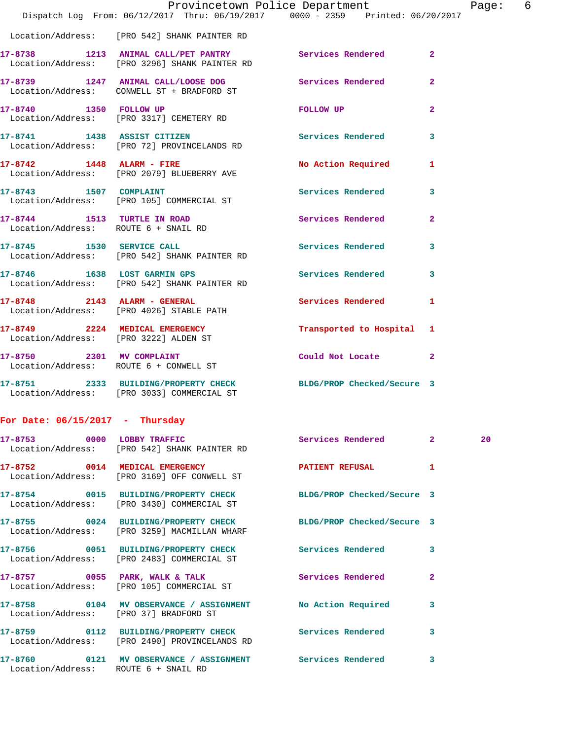|                                       | Dispatch Log From: 06/12/2017 Thru: 06/19/2017 0000 - 2359 Printed: 06/20/2017                                  | Provincetown Police Department |                | Page: 6 |  |
|---------------------------------------|-----------------------------------------------------------------------------------------------------------------|--------------------------------|----------------|---------|--|
|                                       | Location/Address: [PRO 542] SHANK PAINTER RD                                                                    |                                |                |         |  |
|                                       | 17-8738 1213 ANIMAL CALL/PET PANTRY Services Rendered 2<br>Location/Address: [PRO 3296] SHANK PAINTER RD        |                                |                |         |  |
|                                       | 17-8739 1247 ANIMAL CALL/LOOSE DOG Services Rendered<br>Location/Address: CONWELL ST + BRADFORD ST              |                                | $\mathbf{2}$   |         |  |
| 17-8740 1350 FOLLOW UP                | Location/Address: [PRO 3317] CEMETERY RD                                                                        | FOLLOW UP                      | $\overline{2}$ |         |  |
|                                       | 17-8741 1438 ASSIST CITIZEN<br>Location/Address: [PRO 72] PROVINCELANDS RD                                      | <b>Services Rendered</b>       | 3              |         |  |
|                                       | 17-8742 1448 ALARM - FIRE<br>Location/Address: [PRO 2079] BLUEBERRY AVE                                         | No Action Required 1           |                |         |  |
|                                       | 17-8743 1507 COMPLAINT<br>Location/Address: [PRO 105] COMMERCIAL ST                                             | Services Rendered 3            |                |         |  |
|                                       | 17-8744 1513 TURTLE IN ROAD<br>Location/Address: ROUTE 6 + SNAIL RD                                             | Services Rendered              | $\mathbf{2}$   |         |  |
|                                       | 17-8745 1530 SERVICE CALL<br>Location/Address: [PRO 542] SHANK PAINTER RD                                       | Services Rendered              | $\mathbf{3}$   |         |  |
|                                       | 17-8746 1638 LOST GARMIN GPS<br>Location/Address: [PRO 542] SHANK PAINTER RD                                    | Services Rendered 3            |                |         |  |
|                                       | 17-8748 2143 ALARM - GENERAL<br>Location/Address: [PRO 4026] STABLE PATH                                        | Services Rendered 1            |                |         |  |
| Location/Address: [PRO 3222] ALDEN ST | 17-8749 2224 MEDICAL EMERGENCY                                                                                  | Transported to Hospital 1      |                |         |  |
|                                       | 17-8750 2301 MV COMPLAINT<br>Location/Address: ROUTE 6 + CONWELL ST                                             | Could Not Locate 2             |                |         |  |
|                                       | 17-8751 2333 BUILDING/PROPERTY CHECK BLDG/PROP Checked/Secure 3<br>Location/Address: [PRO 3033] COMMERCIAL ST   |                                |                |         |  |
| For Date: $06/15/2017$ - Thursday     |                                                                                                                 |                                |                |         |  |
|                                       | 17-8753 0000 LOBBY TRAFFIC<br>Location/Address: [PRO 542] SHANK PAINTER RD                                      | Services Rendered 2            |                | 20      |  |
|                                       | 17-8752 0014 MEDICAL EMERGENCY<br>Location/Address: [PRO 3169] OFF CONWELL ST                                   | PATIENT REFUSAL 1              |                |         |  |
|                                       | 17-8754 0015 BUILDING/PROPERTY CHECK BLDG/PROP Checked/Secure 3<br>Location/Address: [PRO 3430] COMMERCIAL ST   |                                |                |         |  |
|                                       | 17-8755 0024 BUILDING/PROPERTY CHECK BLDG/PROP Checked/Secure 3<br>Location/Address: [PRO 3259] MACMILLAN WHARF |                                |                |         |  |
|                                       | 17-8756 0051 BUILDING/PROPERTY CHECK Services Rendered<br>Location/Address: [PRO 2483] COMMERCIAL ST            |                                | 3              |         |  |
|                                       | 17-8757 0055 PARK, WALK & TALK<br>Location/Address: [PRO 105] COMMERCIAL ST                                     | <b>Services Rendered</b>       | $\mathbf{2}$   |         |  |
|                                       | 17-8758 0104 MV OBSERVANCE / ASSIGNMENT No Action Required<br>Location/Address: [PRO 37] BRADFORD ST            |                                | 3              |         |  |
|                                       | 17-8759 0112 BUILDING/PROPERTY CHECK Services Rendered 3<br>Location/Address: [PRO 2490] PROVINCELANDS RD       |                                |                |         |  |
| Location/Address: ROUTE 6 + SNAIL RD  | 17-8760 0121 MV OBSERVANCE / ASSIGNMENT Services Rendered                                                       |                                | 3              |         |  |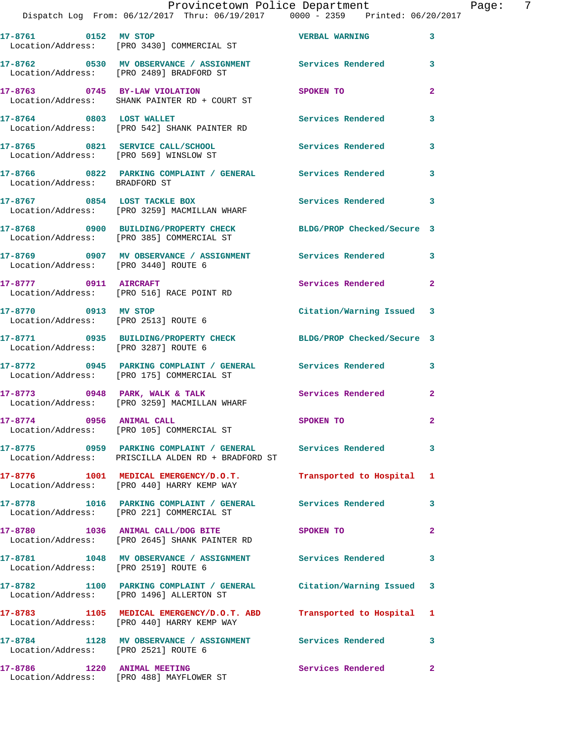| 17-8761 0152 MV STOP                   | Location/Address: [PRO 3430] COMMERCIAL ST                                                                        | <b>VERBAL WARNING</b>      | $\mathbf{3}$   |
|----------------------------------------|-------------------------------------------------------------------------------------------------------------------|----------------------------|----------------|
|                                        | 17-8762 0530 MV OBSERVANCE / ASSIGNMENT Services Rendered<br>Location/Address: [PRO 2489] BRADFORD ST             |                            | 3              |
|                                        | 17-8763 0745 BY-LAW VIOLATION<br>Location/Address: SHANK PAINTER RD + COURT ST                                    | SPOKEN TO                  | $\overline{2}$ |
| 17-8764 0803 LOST WALLET               | Location/Address: [PRO 542] SHANK PAINTER RD                                                                      | Services Rendered          | 3              |
| Location/Address: [PRO 569] WINSLOW ST | 17-8765 0821 SERVICE CALL/SCHOOL                                                                                  | Services Rendered          | 3              |
|                                        |                                                                                                                   |                            | 3              |
|                                        | 17-8767 0854 LOST TACKLE BOX<br>Location/Address: [PRO 3259] MACMILLAN WHARF                                      | Services Rendered          | 3              |
|                                        | 17-8768 0900 BUILDING/PROPERTY CHECK<br>Location/Address: [PRO 385] COMMERCIAL ST                                 | BLDG/PROP Checked/Secure 3 |                |
| Location/Address: [PRO 3440] ROUTE 6   | 17-8769 0907 MV OBSERVANCE / ASSIGNMENT Services Rendered                                                         |                            | 3              |
| 17-8777 0911 AIRCRAFT                  | Location/Address: [PRO 516] RACE POINT RD                                                                         | Services Rendered          | $\overline{2}$ |
| 17-8770 0913 MV STOP                   | Location/Address: [PRO 2513] ROUTE 6                                                                              | Citation/Warning Issued 3  |                |
| Location/Address: [PRO 3287] ROUTE 6   | 17-8771 0935 BUILDING/PROPERTY CHECK BLDG/PROP Checked/Secure 3                                                   |                            |                |
|                                        | 17-8772 0945 PARKING COMPLAINT / GENERAL Services Rendered<br>Location/Address: [PRO 175] COMMERCIAL ST           |                            | 3              |
|                                        | 17-8773 0948 PARK, WALK & TALK<br>Location/Address: [PRO 3259] MACMILLAN WHARF                                    | <b>Services Rendered</b>   | $\mathbf{2}$   |
| 17-8774 0956 ANIMAL CALL               | Location/Address: [PRO 105] COMMERCIAL ST                                                                         | SPOKEN TO                  | $\mathbf{2}$   |
|                                        | Location/Address: PRISCILLA ALDEN RD + BRADFORD ST                                                                |                            | -3-            |
|                                        | 17-8776 1001 MEDICAL EMERGENCY/D.O.T. Transported to Hospital 1<br>Location/Address: [PRO 440] HARRY KEMP WAY     |                            |                |
|                                        | 17-8778 1016 PARKING COMPLAINT / GENERAL Services Rendered<br>Location/Address: [PRO 221] COMMERCIAL ST           |                            | 3              |
|                                        | 17-8780 1036 ANIMAL CALL/DOG BITE<br>Location/Address: [PRO 2645] SHANK PAINTER RD                                | <b>SPOKEN TO</b>           | $\overline{2}$ |
| Location/Address: [PRO 2519] ROUTE 6   | 17-8781 1048 MV OBSERVANCE / ASSIGNMENT Services Rendered                                                         |                            | 3              |
|                                        | 17-8782 1100 PARKING COMPLAINT / GENERAL Citation/Warning Issued 3<br>Location/Address: [PRO 1496] ALLERTON ST    |                            |                |
|                                        | 17-8783 1105 MEDICAL EMERGENCY/D.O.T. ABD Transported to Hospital 1<br>Location/Address: [PRO 440] HARRY KEMP WAY |                            |                |
| Location/Address: [PRO 2521] ROUTE 6   | 17-8784 1128 MV OBSERVANCE / ASSIGNMENT Services Rendered                                                         |                            | 3              |
| 17-8786 1220 ANIMAL MEETING            | Location/Address: [PRO 488] MAYFLOWER ST                                                                          | Services Rendered          | $\mathbf{2}$   |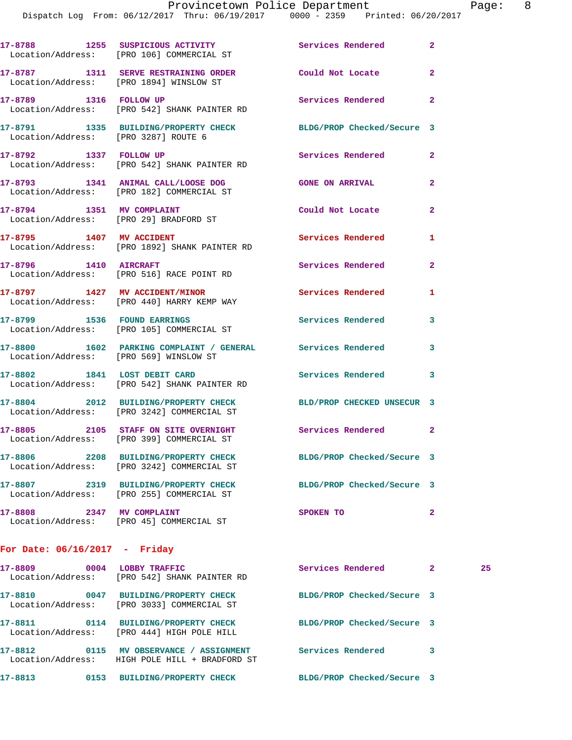|                                        | 17-8788 1255 SUSPICIOUS ACTIVITY<br>Location/Address: [PRO 106] COMMERCIAL ST      | <b>Services Rendered</b>             | $\mathbf{2}$ |
|----------------------------------------|------------------------------------------------------------------------------------|--------------------------------------|--------------|
|                                        | 17-8787 1311 SERVE RESTRAINING ORDER<br>Location/Address: [PRO 1894] WINSLOW ST    | Could Not Locate                     | $\mathbf{2}$ |
| 17-8789 1316 FOLLOW UP                 | Location/Address: [PRO 542] SHANK PAINTER RD                                       | Services Rendered 2                  |              |
| Location/Address: [PRO 3287] ROUTE 6   | 17-8791 1335 BUILDING/PROPERTY CHECK                                               | BLDG/PROP Checked/Secure 3           |              |
| 17-8792 1337 FOLLOW UP                 | Location/Address: [PRO 542] SHANK PAINTER RD                                       | Services Rendered                    | $\mathbf{2}$ |
|                                        | 17-8793 1341 ANIMAL CALL/LOOSE DOG<br>Location/Address: [PRO 182] COMMERCIAL ST    | <b>GONE ON ARRIVAL</b>               | $\mathbf{2}$ |
| 17-8794 1351 MV COMPLAINT              | Location/Address: [PRO 29] BRADFORD ST                                             | Could Not Locate                     | $\mathbf{2}$ |
| 17-8795 1407 MV ACCIDENT               | Location/Address: [PRO 1892] SHANK PAINTER RD                                      | Services Rendered                    | 1            |
| 17-8796 1410 AIRCRAFT                  | Location/Address: [PRO 516] RACE POINT RD                                          | Services Rendered                    | $\mathbf{2}$ |
|                                        | 17-8797 1427 MV ACCIDENT/MINOR<br>Location/Address: [PRO 440] HARRY KEMP WAY       | <b>Services Rendered</b>             | 1            |
| 17-8799 1536 FOUND EARRINGS            | Location/Address: [PRO 105] COMMERCIAL ST                                          | Services Rendered                    | 3            |
| Location/Address: [PRO 569] WINSLOW ST | 17-8800 1602 PARKING COMPLAINT / GENERAL Services Rendered                         |                                      | 3            |
| 17-8802 1841 LOST DEBIT CARD           | Location/Address: [PRO 542] SHANK PAINTER RD                                       | Services Rendered                    | 3            |
|                                        | 17-8804 2012 BUILDING/PROPERTY CHECK<br>Location/Address: [PRO 3242] COMMERCIAL ST | BLD/PROP CHECKED UNSECUR 3           |              |
|                                        | 17-8805 2105 STAFF ON SITE OVERNIGHT<br>Location/Address: [PRO 399] COMMERCIAL ST  | <b>Services Rendered 22 Services</b> |              |
|                                        | 17-8806 2208 BUILDING/PROPERTY CHECK<br>Location/Address: [PRO 3242] COMMERCIAL ST | BLDG/PROP Checked/Secure 3           |              |
| Location/Address:                      | 17-8807 2319 BUILDING/PROPERTY CHECK<br>[PRO 255] COMMERCIAL ST                    | BLDG/PROP Checked/Secure 3           |              |
| 17-8808 2347 MV COMPLAINT              | Location/Address: [PRO 45] COMMERCIAL ST                                           | SPOKEN TO                            | $\mathbf{2}$ |
|                                        |                                                                                    |                                      |              |

## **For Date: 06/16/2017 - Friday**

| 17-8809<br>0004<br>Location/Address: | LOBBY TRAFFIC<br>FRO 5421 SHANK PAINTER RD                                   | Services Rendered          | 2 | 25 |
|--------------------------------------|------------------------------------------------------------------------------|----------------------------|---|----|
| 17-8810<br>0047                      | BUILDING/PROPERTY CHECK<br>Location/Address: [PRO 3033] COMMERCIAL ST        | BLDG/PROP Checked/Secure 3 |   |    |
| 17-8811<br>0114<br>Location/Address: | BUILDING/PROPERTY CHECK<br>[PRO 444] HIGH POLE HILL                          | BLDG/PROP Checked/Secure 3 |   |    |
| 17-8812<br>0115                      | MV OBSERVANCE / ASSIGNMENT<br>Location/Address: HIGH POLE HILL + BRADFORD ST | Services Rendered          | 3 |    |
| 17-8813<br>0153                      | <b>BUILDING/PROPERTY CHECK</b>                                               | BLDG/PROP Checked/Secure 3 |   |    |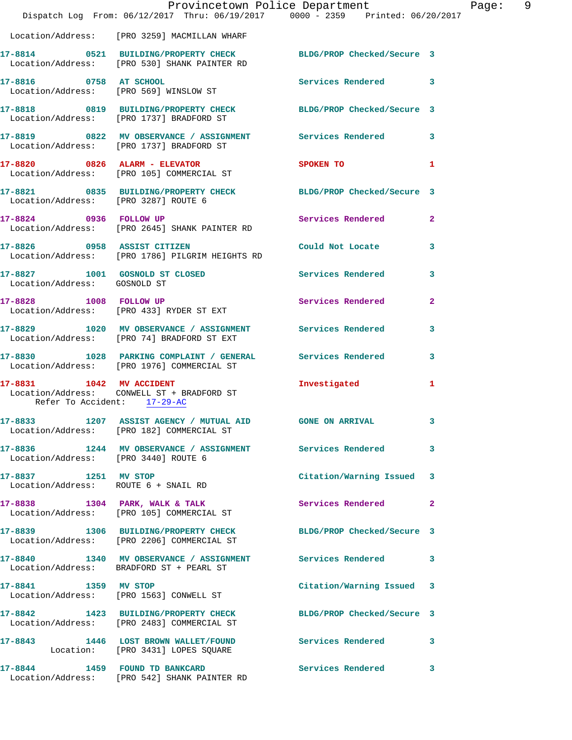|                                      | Dispatch Log From: 06/12/2017 Thru: 06/19/2017 0000 - 2359 Printed: 06/20/2017                                  | Provincetown Police Department | Page: 9                 |  |
|--------------------------------------|-----------------------------------------------------------------------------------------------------------------|--------------------------------|-------------------------|--|
|                                      | Location/Address: [PRO 3259] MACMILLAN WHARF                                                                    |                                |                         |  |
|                                      | 17-8814 0521 BUILDING/PROPERTY CHECK BLDG/PROP Checked/Secure 3<br>Location/Address: [PRO 530] SHANK PAINTER RD |                                |                         |  |
|                                      | 17-8816 0758 AT SCHOOL<br>Location/Address: [PRO 569] WINSLOW ST                                                | Services Rendered 3            |                         |  |
|                                      | 17-8818 0819 BUILDING/PROPERTY CHECK BLDG/PROP Checked/Secure 3<br>Location/Address: [PRO 1737] BRADFORD ST     |                                |                         |  |
|                                      | 17-8819 0822 MV OBSERVANCE / ASSIGNMENT Services Rendered 3<br>Location/Address: [PRO 1737] BRADFORD ST         |                                |                         |  |
|                                      | 17-8820 0826 ALARM - ELEVATOR<br>Location/Address: [PRO 105] COMMERCIAL ST                                      | SPOKEN TO 1                    |                         |  |
|                                      | 17-8821 0835 BUILDING/PROPERTY CHECK BLDG/PROP Checked/Secure 3<br>Location/Address: [PRO 3287] ROUTE 6         |                                |                         |  |
|                                      | 17-8824 0936 FOLLOW UP<br>Location/Address: [PRO 2645] SHANK PAINTER RD                                         | Services Rendered              | $\mathbf{2}$            |  |
|                                      | 17-8826 0958 ASSIST CITIZEN<br>Location/Address: [PRO 1786] PILGRIM HEIGHTS RD                                  | Could Not Locate               | $\overline{\mathbf{3}}$ |  |
| Location/Address: GOSNOLD ST         | 17-8827 1001 GOSNOLD ST CLOSED Services Rendered                                                                |                                | 3                       |  |
|                                      | 17-8828 1008 FOLLOW UP<br>Location/Address: [PRO 433] RYDER ST EXT                                              | Services Rendered              | $\mathbf{2}$            |  |
|                                      | 17-8829 1020 MV OBSERVANCE / ASSIGNMENT Services Rendered<br>Location/Address: [PRO 74] BRADFORD ST EXT         |                                | 3                       |  |
|                                      | 17-8830 1028 PARKING COMPLAINT / GENERAL Services Rendered 3<br>Location/Address: [PRO 1976] COMMERCIAL ST      |                                |                         |  |
| Refer To Accident: 17-29-AC          | 17-8831 1042 MV ACCIDENT<br>Location/Address: CONWELL ST + BRADFORD ST                                          | Investigated                   | 1                       |  |
|                                      | 17-8833 1207 ASSIST AGENCY / MUTUAL AID GONE ON ARRIVAL<br>Location/Address: [PRO 182] COMMERCIAL ST            |                                |                         |  |
| Location/Address: [PRO 3440] ROUTE 6 | 17-8836 1244 MV OBSERVANCE / ASSIGNMENT Services Rendered                                                       |                                | $\mathbf{3}$            |  |
| 17-8837 1251 MV STOP                 | Location/Address: ROUTE 6 + SNAIL RD                                                                            | Citation/Warning Issued 3      |                         |  |
|                                      | 17-8838 1304 PARK, WALK & TALK<br>Location/Address: [PRO 105] COMMERCIAL ST                                     | Services Rendered              | $\mathbf{2}$            |  |
|                                      | 17-8839 1306 BUILDING/PROPERTY CHECK BLDG/PROP Checked/Secure 3<br>Location/Address: [PRO 2206] COMMERCIAL ST   |                                |                         |  |
|                                      | 17-8840 1340 MV OBSERVANCE / ASSIGNMENT Services Rendered 3<br>Location/Address: BRADFORD ST + PEARL ST         |                                |                         |  |
| 17-8841 1359 MV STOP                 | Location/Address: [PRO 1563] CONWELL ST                                                                         | Citation/Warning Issued 3      |                         |  |
|                                      | 17-8842 1423 BUILDING/PROPERTY CHECK BLDG/PROP Checked/Secure 3<br>Location/Address: [PRO 2483] COMMERCIAL ST   |                                |                         |  |
|                                      | 17-8843 1446 LOST BROWN WALLET/FOUND Services Rendered 3<br>Location: [PRO 3431] LOPES SQUARE                   |                                |                         |  |
|                                      | 17-8844 1459 FOUND TD BANKCARD<br>Location/Address: [PRO 542] SHANK PAINTER RD                                  | Services Rendered 3            |                         |  |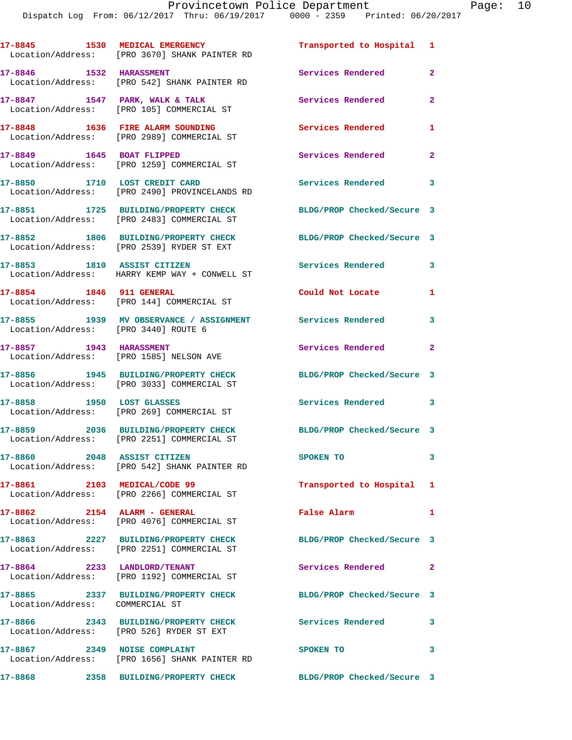Dispatch Log From: 06/12/2017 Thru: 06/19/2017 0000 - 2359 Printed: 06/20/2017

**17-8845 1530 MEDICAL EMERGENCY Transported to Hospital 1**  Location/Address: [PRO 3670] SHANK PAINTER RD **17-8846 1532 HARASSMENT Services Rendered 2**  Location/Address: [PRO 542] SHANK PAINTER RD **17-8847 1547 PARK, WALK & TALK Services Rendered 2**  Location/Address: [PRO 105] COMMERCIAL ST **17-8848 1636 FIRE ALARM SOUNDING Services Rendered 1**  Location/Address: [PRO 2989] COMMERCIAL ST **17-8849 1645 BOAT FLIPPED Services Rendered 2**  Location/Address: [PRO 1259] COMMERCIAL ST 17-8850 1710 LOST CREDIT CARD **Services Rendered** 3 Location/Address: [PRO 2490] PROVINCELANDS RD **17-8851 1725 BUILDING/PROPERTY CHECK BLDG/PROP Checked/Secure 3**  Location/Address: [PRO 2483] COMMERCIAL ST **17-8852 1806 BUILDING/PROPERTY CHECK BLDG/PROP Checked/Secure 3**  Location/Address: [PRO 2539] RYDER ST EXT **17-8853 1810 ASSIST CITIZEN Services Rendered 3**  Location/Address: HARRY KEMP WAY + CONWELL ST **17-8854 1846 911 GENERAL Could Not Locate 1**  Location/Address: [PRO 144] COMMERCIAL ST **17-8855 1939 MV OBSERVANCE / ASSIGNMENT Services Rendered 3**  Location/Address: [PRO 3440] ROUTE 6 **17-8857 1943 HARASSMENT Services Rendered 2**  Location/Address: [PRO 1585] NELSON AVE **17-8856 1945 BUILDING/PROPERTY CHECK BLDG/PROP Checked/Secure 3**  Location/Address: [PRO 3033] COMMERCIAL ST **17-8858 1950 LOST GLASSES Services Rendered 3**  Location/Address: [PRO 269] COMMERCIAL ST **17-8859 2036 BUILDING/PROPERTY CHECK BLDG/PROP Checked/Secure 3**  Location/Address: [PRO 2251] COMMERCIAL ST **17-8860 2048 ASSIST CITIZEN SPOKEN TO 3**  Location/Address: [PRO 542] SHANK PAINTER RD **17-8861 2103 MEDICAL/CODE 99 Transported to Hospital 1**  Location/Address: [PRO 2266] COMMERCIAL ST **17-8862 2154 ALARM - GENERAL False Alarm 1**  Location/Address: [PRO 4076] COMMERCIAL ST **17-8863 2227 BUILDING/PROPERTY CHECK BLDG/PROP Checked/Secure 3**  Location/Address: [PRO 2251] COMMERCIAL ST **17-8864 2233 LANDLORD/TENANT Services Rendered 2**  Location/Address: [PRO 1192] COMMERCIAL ST **17-8865 2337 BUILDING/PROPERTY CHECK BLDG/PROP Checked/Secure 3**  Location/Address: COMMERCIAL ST **17-8866 2343 BUILDING/PROPERTY CHECK Services Rendered 3**  Location/Address: [PRO 526] RYDER ST EXT **17-8867 2349 NOISE COMPLAINT SPOKEN TO 3**  Location/Address: [PRO 1656] SHANK PAINTER RD **17-8868 2358 BUILDING/PROPERTY CHECK BLDG/PROP Checked/Secure 3**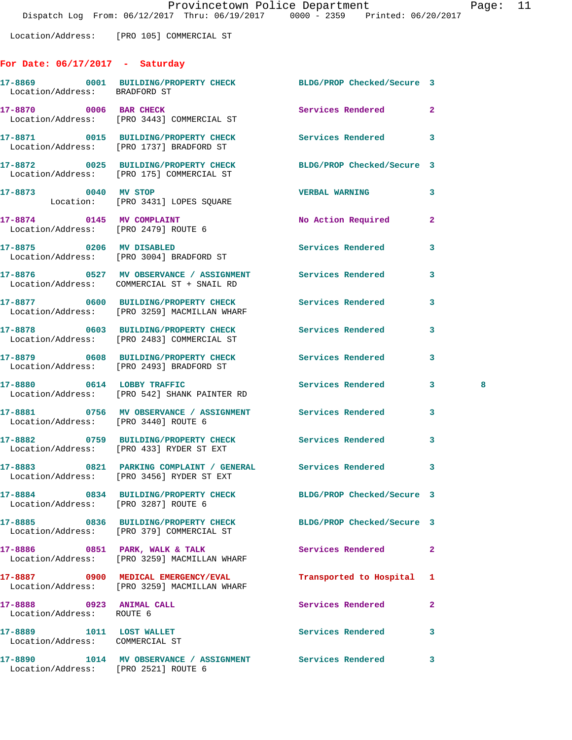Location/Address: [PRO 105] COMMERCIAL ST

## **For Date: 06/17/2017 - Saturday**

| Location/Address: BRADFORD ST                               | 17-8869 0001 BUILDING/PROPERTY CHECK BLDG/PROP Checked/Secure 3                                         |                            |                |
|-------------------------------------------------------------|---------------------------------------------------------------------------------------------------------|----------------------------|----------------|
| 17-8870 0006 BAR CHECK                                      | Location/Address: [PRO 3443] COMMERCIAL ST                                                              | Services Rendered          | $\overline{a}$ |
|                                                             | 17-8871 0015 BUILDING/PROPERTY CHECK<br>Location/Address: [PRO 1737] BRADFORD ST                        | <b>Services Rendered</b>   | 3              |
|                                                             | 17-8872 0025 BUILDING/PROPERTY CHECK<br>Location/Address: [PRO 175] COMMERCIAL ST                       | BLDG/PROP Checked/Secure 3 |                |
|                                                             | 17-8873 0040 MV STOP<br>Location: [PRO 3431] LOPES SQUARE                                               | <b>VERBAL WARNING</b>      | 3              |
|                                                             | 17-8874 0145 MV COMPLAINT<br>Location/Address: [PRO 2479] ROUTE 6                                       | No Action Required         | $\overline{a}$ |
|                                                             | 17-8875 0206 MV DISABLED<br>Location/Address: [PRO 3004] BRADFORD ST                                    | Services Rendered          | 3              |
|                                                             | 17-8876 0527 MV OBSERVANCE / ASSIGNMENT Services Rendered<br>Location/Address: COMMERCIAL ST + SNAIL RD |                            | 3              |
|                                                             | 17-8877 0600 BUILDING/PROPERTY CHECK<br>Location/Address: [PRO 3259] MACMILLAN WHARF                    | <b>Services Rendered</b>   | 3              |
|                                                             | 17-8878 0603 BUILDING/PROPERTY CHECK Services Rendered<br>Location/Address: [PRO 2483] COMMERCIAL ST    |                            | 3              |
|                                                             | 17-8879 0608 BUILDING/PROPERTY CHECK Services Rendered<br>Location/Address: [PRO 2493] BRADFORD ST      |                            | 3              |
|                                                             | 17-8880 0614 LOBBY TRAFFIC<br>Location/Address: [PRO 542] SHANK PAINTER RD                              | Services Rendered          | 3<br>8         |
| Location/Address: [PRO 3440] ROUTE 6                        | 17-8881 0756 MV OBSERVANCE / ASSIGNMENT Services Rendered                                               |                            | 3              |
|                                                             | 17-8882 0759 BUILDING/PROPERTY CHECK Services Rendered<br>Location/Address: [PRO 433] RYDER ST EXT      |                            | 3              |
|                                                             | 17-8883 0821 PARKING COMPLAINT / GENERAL Services Rendered<br>Location/Address: [PRO 3456] RYDER ST EXT |                            | $\mathbf{3}$   |
| Location/Address: [PRO 3287] ROUTE 6                        | 17-8884 0834 BUILDING/PROPERTY CHECK BLDG/PROP Checked/Secure 3                                         |                            |                |
|                                                             | 17-8885 0836 BUILDING/PROPERTY CHECK<br>Location/Address: [PRO 379] COMMERCIAL ST                       | BLDG/PROP Checked/Secure 3 |                |
| 17-8886 0851 PARK, WALK & TALK                              | Location/Address: [PRO 3259] MACMILLAN WHARF                                                            | Services Rendered          | 2              |
|                                                             | 17-8887 0900 MEDICAL EMERGENCY/EVAL<br>Location/Address: [PRO 3259] MACMILLAN WHARF                     | Transported to Hospital    | 1              |
| 17-8888 0923 ANIMAL CALL<br>Location/Address: ROUTE 6       |                                                                                                         | Services Rendered          | 2              |
| 17-8889 1011 LOST WALLET<br>Location/Address: COMMERCIAL ST |                                                                                                         | <b>Services Rendered</b>   | 3              |
| Location/Address: [PRO 2521] ROUTE 6                        | 17-8890 1014 MV OBSERVANCE / ASSIGNMENT Services Rendered                                               |                            | 3              |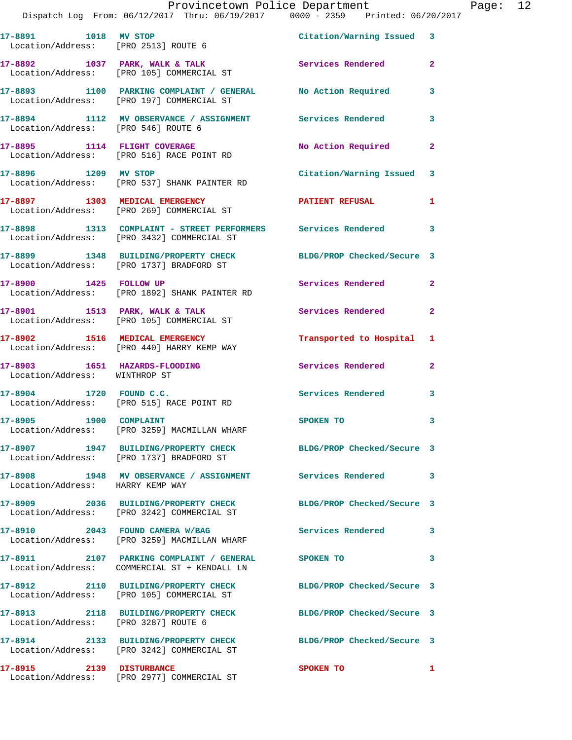|                                                                | Provincetown Police Department<br>Dispatch Log From: 06/12/2017 Thru: 06/19/2017 0000 - 2359 Printed: 06/20/2017 |                            |                |
|----------------------------------------------------------------|------------------------------------------------------------------------------------------------------------------|----------------------------|----------------|
|                                                                | 17-8891 1018 MV STOP<br>Location/Address: [PRO 2513] ROUTE 6                                                     | Citation/Warning Issued 3  |                |
|                                                                | 17-8892 1037 PARK, WALK & TALK<br>Location/Address: [PRO 105] COMMERCIAL ST                                      | Services Rendered          | $\overline{a}$ |
|                                                                | 17-8893 1100 PARKING COMPLAINT / GENERAL No Action Required<br>Location/Address: [PRO 197] COMMERCIAL ST         |                            | 3              |
| Location/Address: [PRO 546] ROUTE 6                            | 17-8894 1112 MV OBSERVANCE / ASSIGNMENT Services Rendered                                                        |                            | 3              |
|                                                                | 17-8895 1114 FLIGHT COVERAGE<br>Location/Address: [PRO 516] RACE POINT RD                                        | No Action Required         | $\mathbf{2}$   |
| 17-8896 1209 MV STOP                                           | Location/Address: [PRO 537] SHANK PAINTER RD                                                                     | Citation/Warning Issued    | 3              |
|                                                                | 17-8897 1303 MEDICAL EMERGENCY<br>Location/Address: [PRO 269] COMMERCIAL ST                                      | PATIENT REFUSAL            | 1              |
|                                                                | 17-8898 1313 COMPLAINT - STREET PERFORMERS Services Rendered<br>Location/Address: [PRO 3432] COMMERCIAL ST       |                            | 3              |
|                                                                | 17-8899 1348 BUILDING/PROPERTY CHECK<br>Location/Address: [PRO 1737] BRADFORD ST                                 | BLDG/PROP Checked/Secure 3 |                |
| 17-8900 1425 FOLLOW UP                                         | Location/Address: [PRO 1892] SHANK PAINTER RD                                                                    | Services Rendered          | $\mathbf{2}$   |
|                                                                | 17-8901 1513 PARK, WALK & TALK<br>Location/Address: [PRO 105] COMMERCIAL ST                                      | Services Rendered          | $\mathbf{2}$   |
|                                                                | 17-8902 1516 MEDICAL EMERGENCY<br>Location/Address: [PRO 440] HARRY KEMP WAY                                     | Transported to Hospital    | 1              |
| 17-8903 1651 HAZARDS-FLOODING<br>Location/Address: WINTHROP ST |                                                                                                                  | <b>Services Rendered</b>   | $\mathbf{2}$   |
| $17 - 8904$ 1720 FOUND C.C.                                    | Location/Address: [PRO 515] RACE POINT RD                                                                        | <b>Services Rendered</b>   | 3              |
| 17-8905 1900 COMPLAINT                                         | Location/Address: [PRO 3259] MACMILLAN WHARF                                                                     | <b>SPOKEN TO</b>           | 3              |
|                                                                | 17-8907 1947 BUILDING/PROPERTY CHECK<br>Location/Address: [PRO 1737] BRADFORD ST                                 | BLDG/PROP Checked/Secure 3 |                |
| Location/Address: HARRY KEMP WAY                               | 17-8908 1948 MV OBSERVANCE / ASSIGNMENT Services Rendered                                                        |                            | 3              |
|                                                                | 17-8909 2036 BUILDING/PROPERTY CHECK<br>Location/Address: [PRO 3242] COMMERCIAL ST                               | BLDG/PROP Checked/Secure 3 |                |
|                                                                | 17-8910 2043 FOUND CAMERA W/BAG<br>Location/Address: [PRO 3259] MACMILLAN WHARF                                  | Services Rendered          | 3              |
|                                                                | 17-8911 2107 PARKING COMPLAINT / GENERAL SPOKEN TO<br>Location/Address: COMMERCIAL ST + KENDALL LN               |                            | 3              |
|                                                                | 17-8912 2110 BUILDING/PROPERTY CHECK<br>Location/Address: [PRO 105] COMMERCIAL ST                                | BLDG/PROP Checked/Secure 3 |                |
| Location/Address: [PRO 3287] ROUTE 6                           |                                                                                                                  | BLDG/PROP Checked/Secure 3 |                |

Location/Address: [PRO 3242] COMMERCIAL ST

**17-8914 2133 BUILDING/PROPERTY CHECK BLDG/PROP Checked/Secure 3** 

**17-8915 2139 DISTURBANCE SPOKEN TO 1**  Location/Address: [PRO 2977] COMMERCIAL ST

- 
-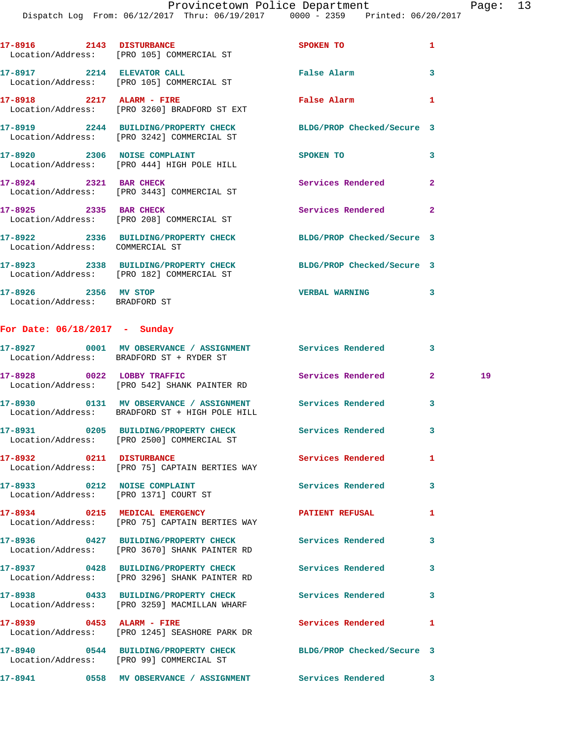|                              |      | DISPACCH LOY FION. 00/14/2017 INIU. 00/19/2017 |             | $UUUU = 2339$ PIINCE $UU/ZU/ZU1$ |
|------------------------------|------|------------------------------------------------|-------------|----------------------------------|
| 17-8916<br>Location/Address: | 2143 | <b>DISTURBANCE</b><br>[PRO 105] COMMERCIAL ST  | SPOKEN TO   |                                  |
| 17-8917                      | 2214 | <b>ELEVATOR CALL</b>                           | False Alarm |                                  |

 Location/Address: [PRO 105] COMMERCIAL ST **17-8918 2217 ALARM - FIRE False Alarm 1**  Location/Address: [PRO 3260] BRADFORD ST EXT **17-8919 2244 BUILDING/PROPERTY CHECK BLDG/PROP Checked/Secure 3**  Location/Address: [PRO 3242] COMMERCIAL ST **17-8920** 2306 NOISE COMPLAINT SPOKEN TO 3 Location/Address: [PRO 444] HIGH POLE HILL 17-8924 2321 BAR CHECK Services Rendered 2 Location/Address: [PRO 3443] COMMERCIAL ST **17-8925 2335 BAR CHECK Services Rendered 2**  Location/Address: [PRO 208] COMMERCIAL ST **17-8922 2336 BUILDING/PROPERTY CHECK BLDG/PROP Checked/Secure 3**  Location/Address: COMMERCIAL ST

**17-8923 2338 BUILDING/PROPERTY CHECK BLDG/PROP Checked/Secure 3**  Location/Address: [PRO 182] COMMERCIAL ST **17-8926 2356 MV STOP VERBAL WARNING 3**  Location/Address: BRADFORD ST

## **For Date: 06/18/2017 - Sunday**

|                                                                       | 17-8927 0001 MV OBSERVANCE / ASSIGNMENT Services Rendered<br>Location/Address: BRADFORD ST + RYDER ST           |                            | $\overline{\mathbf{3}}$ |    |
|-----------------------------------------------------------------------|-----------------------------------------------------------------------------------------------------------------|----------------------------|-------------------------|----|
|                                                                       | 17-8928 0022 LOBBY TRAFFIC<br>Location/Address: [PRO 542] SHANK PAINTER RD                                      | <b>Services Rendered</b>   | $\overline{2}$          | 19 |
|                                                                       | 17-8930   0131 MV OBSERVANCE / ASSIGNMENT   Services Rendered<br>Location/Address: BRADFORD ST + HIGH POLE HILL |                            | $\overline{\mathbf{3}}$ |    |
|                                                                       | 17-8931 0205 BUILDING/PROPERTY CHECK<br>Location/Address: [PRO 2500] COMMERCIAL ST                              | <b>Services Rendered</b>   | $\overline{\mathbf{3}}$ |    |
| 17-8932 0211 DISTURBANCE                                              | Location/Address: [PRO 75] CAPTAIN BERTIES WAY                                                                  | <b>Services Rendered</b>   | $\mathbf{1}$            |    |
| 17-8933 0212 NOISE COMPLAINT<br>Location/Address: [PRO 1371] COURT ST |                                                                                                                 | <b>Services Rendered</b>   | $\overline{\mathbf{3}}$ |    |
|                                                                       | 17-8934 0215 MEDICAL EMERGENCY<br>Location/Address: [PRO 75] CAPTAIN BERTIES WAY                                | <b>PATIENT REFUSAL</b>     | $\mathbf{1}$            |    |
|                                                                       | 17-8936 0427 BUILDING/PROPERTY CHECK<br>Location/Address: [PRO 3670] SHANK PAINTER RD                           | <b>Services Rendered</b>   | $\overline{\mathbf{3}}$ |    |
|                                                                       | 17-8937 0428 BUILDING/PROPERTY CHECK<br>Location/Address: [PRO 3296] SHANK PAINTER RD                           | <b>Services Rendered</b>   | 3                       |    |
|                                                                       | 17-8938 0433 BUILDING/PROPERTY CHECK<br>Location/Address: [PRO 3259] MACMILLAN WHARF                            | <b>Services Rendered</b>   | 3                       |    |
|                                                                       | 17-8939 0453 ALARM - FIRE<br>Location/Address: [PRO 1245] SEASHORE PARK DR                                      | <b>Services Rendered</b>   | $\mathbf{1}$            |    |
|                                                                       | 17-8940 0544 BUILDING/PROPERTY CHECK<br>Location/Address: [PRO 99] COMMERCIAL ST                                | BLDG/PROP Checked/Secure 3 |                         |    |
|                                                                       | 17-8941 0558 MV OBSERVANCE / ASSIGNMENT Services Rendered                                                       |                            | 3                       |    |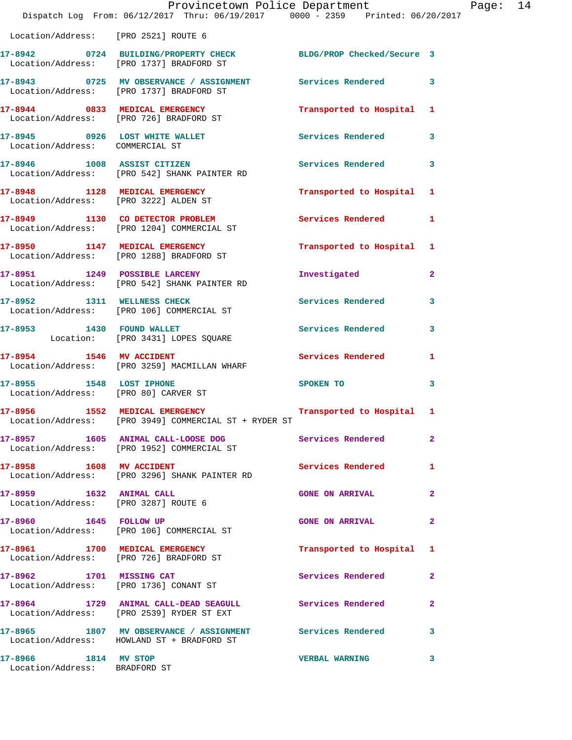|                                                                           | Provincetown Police Department<br>Dispatch Log From: 06/12/2017 Thru: 06/19/2017 0000 - 2359 Printed: 06/20/2017 |                          |                |
|---------------------------------------------------------------------------|------------------------------------------------------------------------------------------------------------------|--------------------------|----------------|
| Location/Address: [PRO 2521] ROUTE 6                                      |                                                                                                                  |                          |                |
|                                                                           | 17-8942 0724 BUILDING/PROPERTY CHECK BLDG/PROP Checked/Secure 3<br>Location/Address: [PRO 1737] BRADFORD ST      |                          |                |
| Location/Address: [PRO 1737] BRADFORD ST                                  | 17-8943 0725 MV OBSERVANCE / ASSIGNMENT Services Rendered                                                        |                          | 3              |
| 17-8944 0833 MEDICAL EMERGENCY<br>Location/Address: [PRO 726] BRADFORD ST |                                                                                                                  | Transported to Hospital  | 1              |
| 17-8945 0926 LOST WHITE WALLET<br>Location/Address: COMMERCIAL ST         |                                                                                                                  | Services Rendered        | 3              |
|                                                                           | 17-8946 1008 ASSIST CITIZEN<br>Location/Address: [PRO 542] SHANK PAINTER RD                                      | Services Rendered        | 3              |
| 17-8948 1128 MEDICAL EMERGENCY<br>Location/Address: [PRO 3222] ALDEN ST   |                                                                                                                  | Transported to Hospital  | 1              |
|                                                                           | 17-8949 1130 CO DETECTOR PROBLEM<br>Location/Address: [PRO 1204] COMMERCIAL ST                                   | Services Rendered        | 1              |
|                                                                           | 17-8950 1147 MEDICAL EMERGENCY<br>Location/Address: [PRO 1288] BRADFORD ST                                       | Transported to Hospital  | 1              |
|                                                                           | 17-8951 1249 POSSIBLE LARCENY<br>Location/Address: [PRO 542] SHANK PAINTER RD                                    | Investigated             | $\overline{a}$ |
|                                                                           | 17-8952 1311 WELLNESS CHECK<br>Location/Address: [PRO 106] COMMERCIAL ST                                         | <b>Services Rendered</b> | 3              |
| 17-8953 1430 FOUND WALLET                                                 | Location: [PRO 3431] LOPES SQUARE                                                                                | <b>Services Rendered</b> | 3              |
|                                                                           | 17-8954 1546 MV ACCIDENT<br>Location/Address: [PRO 3259] MACMILLAN WHARF                                         | Services Rendered        | 1              |
| 17-8955 1548 LOST IPHONE<br>Location/Address: [PRO 80] CARVER ST          |                                                                                                                  | SPOKEN TO                | 3              |
| 17-8956 1552 MEDICAL EMERGENCY                                            | Location/Address: [PRO 3949] COMMERCIAL ST + RYDER ST                                                            | Transported to Hospital  | 1              |
|                                                                           | 17-8957 1605 ANIMAL CALL-LOOSE DOG<br>Location/Address: [PRO 1952] COMMERCIAL ST                                 | Services Rendered        | $\mathbf{2}$   |
| 17-8958 1608 MV ACCIDENT                                                  | Location/Address: [PRO 3296] SHANK PAINTER RD                                                                    | Services Rendered        | 1              |
| 17-8959 1632 ANIMAL CALL<br>Location/Address: [PRO 3287] ROUTE 6          |                                                                                                                  | <b>GONE ON ARRIVAL</b>   | 2              |
| 17-8960 1645 FOLLOW UP                                                    | Location/Address: [PRO 106] COMMERCIAL ST                                                                        | <b>GONE ON ARRIVAL</b>   | 2              |
| 17-8961 1700 MEDICAL EMERGENCY<br>Location/Address: [PRO 726] BRADFORD ST |                                                                                                                  | Transported to Hospital  | 1              |
| 17-8962 1701 MISSING CAT                                                  | Location/Address: [PRO 1736] CONANT ST                                                                           | Services Rendered        | $\mathbf{2}$   |
|                                                                           | 17-8964 1729 ANIMAL CALL-DEAD SEAGULL Services Rendered<br>Location/Address: [PRO 2539] RYDER ST EXT             |                          | $\mathbf{2}$   |
|                                                                           | 17-8965 1807 MV OBSERVANCE / ASSIGNMENT Services Rendered<br>Location/Address: HOWLAND ST + BRADFORD ST          |                          | 3              |
| 17-8966 1814 MV STOP<br>Location/Address: BRADFORD ST                     |                                                                                                                  | <b>VERBAL WARNING</b>    | 3              |

Page: 14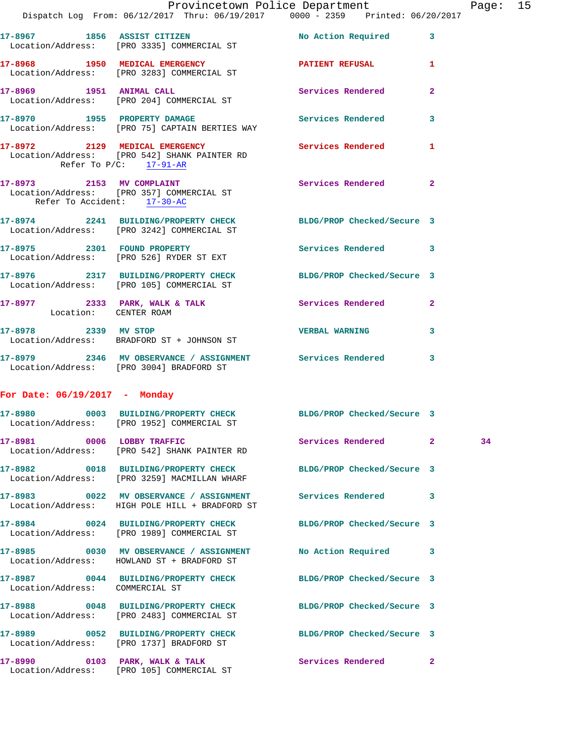|                                 |                                                                                                                 | Provincetown Police Department |              | Page: 15 |  |
|---------------------------------|-----------------------------------------------------------------------------------------------------------------|--------------------------------|--------------|----------|--|
|                                 | Dispatch Log From: 06/12/2017 Thru: 06/19/2017 0000 - 2359 Printed: 06/20/2017                                  |                                |              |          |  |
|                                 | 17-8967 1856 ASSIST CITIZEN No Action Required 3<br>Location/Address: [PRO 3335] COMMERCIAL ST                  |                                |              |          |  |
|                                 | 17-8968 1950 MEDICAL EMERGENCY 1 PATIENT REFUSAL 1<br>Location/Address: [PRO 3283] COMMERCIAL ST                |                                |              |          |  |
|                                 | 17-8969 1951 ANIMAL CALL<br>Location/Address: [PRO 204] COMMERCIAL ST                                           | Services Rendered              | $\mathbf{2}$ |          |  |
|                                 | 17-8970 1955 PROPERTY DAMAGE<br>Location/Address: [PRO 75] CAPTAIN BERTIES WAY                                  | Services Rendered 3            |              |          |  |
| Refer To $P/C$ : 17-91-AR       | 17-8972 2129 MEDICAL EMERGENCY<br>Location/Address: [PRO 542] SHANK PAINTER RD                                  | Services Rendered 1            |              |          |  |
| Refer To Accident: 17-30-AC     | 17-8973 2153 MV COMPLAINT<br>Location/Address: [PRO 357] COMMERCIAL ST                                          | Services Rendered              | $\mathbf{2}$ |          |  |
|                                 | 17-8974 2241 BUILDING/PROPERTY CHECK BLDG/PROP Checked/Secure 3<br>Location/Address: [PRO 3242] COMMERCIAL ST   |                                |              |          |  |
|                                 | 17-8975 2301 FOUND PROPERTY<br>Location/Address: [PRO 526] RYDER ST EXT                                         | Services Rendered 3            |              |          |  |
|                                 | 17-8976 2317 BUILDING/PROPERTY CHECK BLDG/PROP Checked/Secure 3<br>Location/Address: [PRO 105] COMMERCIAL ST    |                                |              |          |  |
|                                 | 17-8977 2333 PARK, WALK & TALK Services Rendered 2<br>Location: CENTER ROAM                                     |                                |              |          |  |
| 17-8978 2339 MV STOP            | Location/Address: BRADFORD ST + JOHNSON ST                                                                      | <b>VERBAL WARNING</b>          | 3            |          |  |
|                                 | 17-8979 2346 MV OBSERVANCE / ASSIGNMENT Services Rendered 3<br>Location/Address: [PRO 3004] BRADFORD ST         |                                |              |          |  |
| For Date: $06/19/2017$ - Monday |                                                                                                                 |                                |              |          |  |
|                                 | 17-8980 0003 BUILDING/PROPERTY CHECK BLDG/PROP Checked/Secure 3<br>Location/Address: [PRO 1952] COMMERCIAL ST   |                                |              |          |  |
|                                 | 17-8981 0006 LOBBY TRAFFIC<br>Location/Address: [PRO 542] SHANK PAINTER RD                                      | Services Rendered 2            |              | 34       |  |
|                                 | 17-8982 0018 BUILDING/PROPERTY CHECK BLDG/PROP Checked/Secure 3<br>Location/Address: [PRO 3259] MACMILLAN WHARF |                                |              |          |  |
|                                 | 17-8983 0022 MV OBSERVANCE / ASSIGNMENT Services Rendered 3<br>Location/Address: HIGH POLE HILL + BRADFORD ST   |                                |              |          |  |
|                                 | 17-8984 0024 BUILDING/PROPERTY CHECK BLDG/PROP Checked/Secure 3<br>Location/Address: [PRO 1989] COMMERCIAL ST   |                                |              |          |  |
|                                 | 17-8985 0030 MV OBSERVANCE / ASSIGNMENT No Action Required 3<br>Location/Address: HOWLAND ST + BRADFORD ST      |                                |              |          |  |
| Location/Address: COMMERCIAL ST | 17-8987 0044 BUILDING/PROPERTY CHECK BLDG/PROP Checked/Secure 3                                                 |                                |              |          |  |
|                                 | 17-8988 0048 BUILDING/PROPERTY CHECK BLDG/PROP Checked/Secure 3<br>Location/Address: [PRO 2483] COMMERCIAL ST   |                                |              |          |  |
|                                 | 17-8989 0052 BUILDING/PROPERTY CHECK BLDG/PROP Checked/Secure 3<br>Location/Address: [PRO 1737] BRADFORD ST     |                                |              |          |  |
|                                 | 17-8990 0103 PARK, WALK & TALK<br>Location/Address: [PRO 105] COMMERCIAL ST                                     | Services Rendered 2            |              |          |  |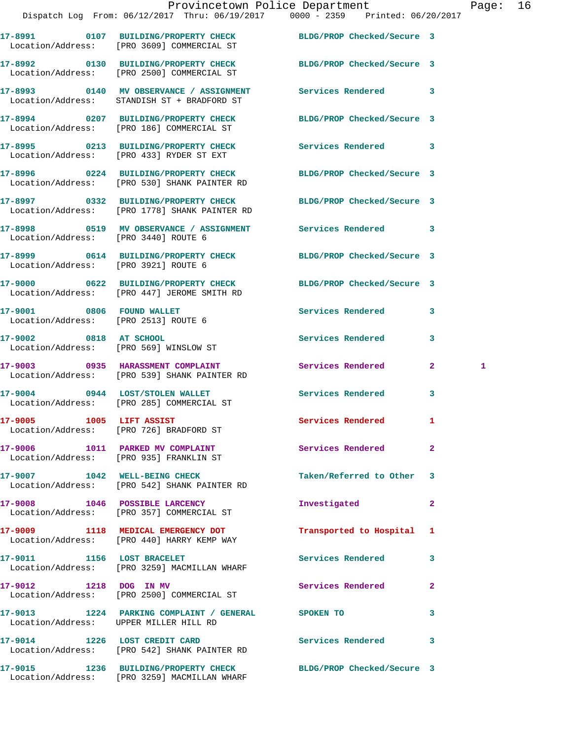|                                      | Dispatch Log From: 06/12/2017 Thru: 06/19/2017 0000 - 2359 Printed: 06/20/2017                                   | Provincetown Police Department |              | Page: 16 |  |
|--------------------------------------|------------------------------------------------------------------------------------------------------------------|--------------------------------|--------------|----------|--|
|                                      | 17-8991 0107 BUILDING/PROPERTY CHECK BLDG/PROP Checked/Secure 3<br>Location/Address: [PRO 3609] COMMERCIAL ST    |                                |              |          |  |
|                                      | 17-8992 0130 BUILDING/PROPERTY CHECK BLDG/PROP Checked/Secure 3<br>Location/Address: [PRO 2500] COMMERCIAL ST    |                                |              |          |  |
|                                      | 17-8993 0140 MV OBSERVANCE / ASSIGNMENT Services Rendered 3<br>Location/Address: STANDISH ST + BRADFORD ST       |                                |              |          |  |
|                                      | 17-8994 0207 BUILDING/PROPERTY CHECK BLDG/PROP Checked/Secure 3<br>Location/Address: [PRO 186] COMMERCIAL ST     |                                |              |          |  |
|                                      | 17-8995 0213 BUILDING/PROPERTY CHECK Services Rendered 3<br>Location/Address: [PRO 433] RYDER ST EXT             |                                |              |          |  |
|                                      | 17-8996 0224 BUILDING/PROPERTY CHECK BLDG/PROP Checked/Secure 3<br>Location/Address: [PRO 530] SHANK PAINTER RD  |                                |              |          |  |
|                                      | 17-8997 0332 BUILDING/PROPERTY CHECK BLDG/PROP Checked/Secure 3<br>Location/Address: [PRO 1778] SHANK PAINTER RD |                                |              |          |  |
| Location/Address: [PRO 3440] ROUTE 6 | 17-8998 0519 MV OBSERVANCE / ASSIGNMENT Services Rendered 3                                                      |                                |              |          |  |
| Location/Address: [PRO 3921] ROUTE 6 | 17-8999 0614 BUILDING/PROPERTY CHECK BLDG/PROP Checked/Secure 3                                                  |                                |              |          |  |
|                                      | 17-9000 0622 BUILDING/PROPERTY CHECK BLDG/PROP Checked/Secure 3<br>Location/Address: [PRO 447] JEROME SMITH RD   |                                |              |          |  |
|                                      | 17-9001 0806 FOUND WALLET<br>Location/Address: [PRO 2513] ROUTE 6                                                | Services Rendered 3            |              |          |  |
|                                      | 17-9002 0818 AT SCHOOL<br>Location/Address: [PRO 569] WINSLOW ST                                                 | Services Rendered              | 3            |          |  |
|                                      | 17-9003 0935 HARASSMENT COMPLAINT Services Rendered 2<br>Location/Address: [PRO 539] SHANK PAINTER RD            |                                |              | 1        |  |
|                                      | 17-9004 0944 LOST/STOLEN WALLET<br>Location/Address: [PRO 285] COMMERCIAL ST                                     | <b>Services Rendered</b>       | $\mathbf{3}$ |          |  |
| 17-9005 1005 LIFT ASSIST             | Location/Address: [PRO 726] BRADFORD ST                                                                          | Services Rendered 1            |              |          |  |
|                                      | 17-9006 1011 PARKED MV COMPLAINT Services Rendered 2<br>Location/Address: [PRO 935] FRANKLIN ST                  |                                |              |          |  |
|                                      | 17-9007 1042 WELL-BEING CHECK<br>Location/Address: [PRO 542] SHANK PAINTER RD                                    | Taken/Referred to Other 3      |              |          |  |
|                                      | 17-9008 1046 POSSIBLE LARCENCY<br>Location/Address: [PRO 357] COMMERCIAL ST                                      | Investigated                   | $\mathbf{2}$ |          |  |
|                                      | 17-9009 1118 MEDICAL EMERGENCY DOT<br>Location/Address: [PRO 440] HARRY KEMP WAY                                 | Transported to Hospital 1      |              |          |  |
|                                      | 17-9011 1156 LOST BRACELET<br>Location/Address: [PRO 3259] MACMILLAN WHARF                                       | Services Rendered              | 3            |          |  |
|                                      | 17-9012 1218 DOG IN MV<br>Location/Address: [PRO 2500] COMMERCIAL ST                                             | Services Rendered              | $\mathbf{2}$ |          |  |
|                                      | 17-9013 1224 PARKING COMPLAINT / GENERAL SPOKEN TO<br>Location/Address: UPPER MILLER HILL RD                     |                                | 3            |          |  |
|                                      | 17-9014 1226 LOST CREDIT CARD<br>Location/Address: [PRO 542] SHANK PAINTER RD                                    | Services Rendered 3            |              |          |  |
|                                      | 17-9015 1236 BUILDING/PROPERTY CHECK BLDG/PROP Checked/Secure 3                                                  |                                |              |          |  |

Location/Address: [PRO 3259] MACMILLAN WHARF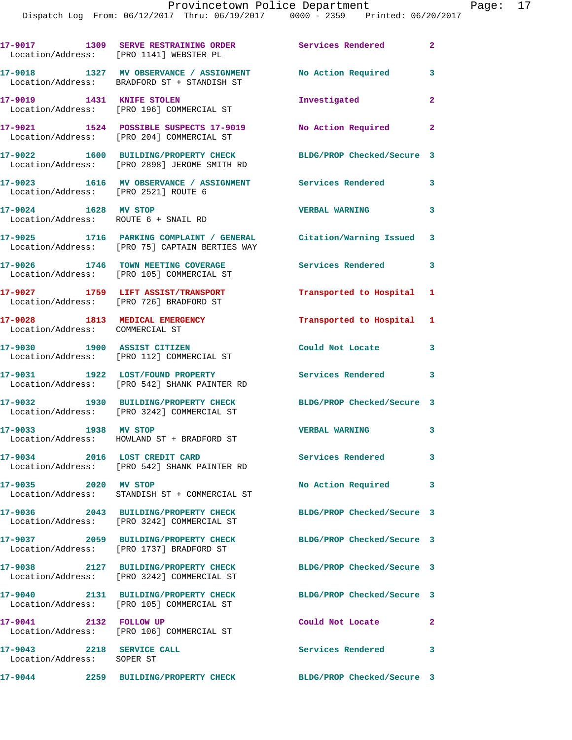|                                                                   | 17-9017 1309 SERVE RESTRAINING ORDER Services Rendered<br>Location/Address: [PRO 1141] WEBSTER PL                    |                            | $\mathbf{2}$ |
|-------------------------------------------------------------------|----------------------------------------------------------------------------------------------------------------------|----------------------------|--------------|
|                                                                   | 17-9018 1327 MV OBSERVANCE / ASSIGNMENT<br>Location/Address: BRADFORD ST + STANDISH ST                               | No Action Required         | $\mathbf{3}$ |
| 17-9019 1431 KNIFE STOLEN                                         | Location/Address: [PRO 196] COMMERCIAL ST                                                                            | Investigated               | $\mathbf{2}$ |
|                                                                   | 17-9021 1524 POSSIBLE SUSPECTS 17-9019<br>Location/Address: [PRO 204] COMMERCIAL ST                                  | No Action Required         | $\mathbf{2}$ |
|                                                                   | 17-9022 1600 BUILDING/PROPERTY CHECK<br>Location/Address: [PRO 2898] JEROME SMITH RD                                 | BLDG/PROP Checked/Secure 3 |              |
| Location/Address: [PRO 2521] ROUTE 6                              | 17-9023 1616 MV OBSERVANCE / ASSIGNMENT Services Rendered                                                            |                            | 3            |
| 17-9024 1628 MV STOP<br>Location/Address: ROUTE 6 + SNAIL RD      |                                                                                                                      | <b>VERBAL WARNING</b>      | $\mathbf{3}$ |
|                                                                   | 17-9025 1716 PARKING COMPLAINT / GENERAL Citation/Warning Issued 3<br>Location/Address: [PRO 75] CAPTAIN BERTIES WAY |                            |              |
|                                                                   | 17-9026 1746 TOWN MEETING COVERAGE<br>Location/Address: [PRO 105] COMMERCIAL ST                                      | Services Rendered 3        |              |
|                                                                   | 17-9027 1759 LIFT ASSIST/TRANSPORT<br>Location/Address: [PRO 726] BRADFORD ST                                        | Transported to Hospital 1  |              |
| 17-9028 1813 MEDICAL EMERGENCY<br>Location/Address: COMMERCIAL ST |                                                                                                                      | Transported to Hospital 1  |              |
|                                                                   | 17-9030 1900 ASSIST CITIZEN<br>Location/Address: [PRO 112] COMMERCIAL ST                                             | Could Not Locate           | 3            |
| 17-9031 1922 LOST/FOUND PROPERTY                                  | Location/Address: [PRO 542] SHANK PAINTER RD                                                                         | <b>Services Rendered</b>   | 3            |
|                                                                   | 17-9032 1930 BUILDING/PROPERTY CHECK<br>Location/Address: [PRO 3242] COMMERCIAL ST                                   | BLDG/PROP Checked/Secure 3 |              |
| 17-9033 1938 MV STOP                                              | Location/Address: HOWLAND ST + BRADFORD ST                                                                           | <b>VERBAL WARNING</b>      | $\mathbf{3}$ |
|                                                                   | 17-9034 2016 LOST CREDIT CARD<br>Location/Address: [PRO 542] SHANK PAINTER RD                                        | Services Rendered          | 3            |
| 17-9035 2020 MV STOP                                              | Location/Address: STANDISH ST + COMMERCIAL ST                                                                        | No Action Required 3       |              |
|                                                                   | 17-9036 2043 BUILDING/PROPERTY CHECK<br>Location/Address: [PRO 3242] COMMERCIAL ST                                   | BLDG/PROP Checked/Secure 3 |              |
|                                                                   | 17-9037 2059 BUILDING/PROPERTY CHECK<br>Location/Address: [PRO 1737] BRADFORD ST                                     | BLDG/PROP Checked/Secure 3 |              |
|                                                                   | 17-9038 2127 BUILDING/PROPERTY CHECK<br>Location/Address: [PRO 3242] COMMERCIAL ST                                   | BLDG/PROP Checked/Secure 3 |              |
|                                                                   | 17-9040 2131 BUILDING/PROPERTY CHECK<br>Location/Address: [PRO 105] COMMERCIAL ST                                    | BLDG/PROP Checked/Secure 3 |              |
| 17-9041 2132 FOLLOW UP                                            | Location/Address: [PRO 106] COMMERCIAL ST                                                                            | Could Not Locate           | $\mathbf{2}$ |
| 17-9043 2218 SERVICE CALL<br>Location/Address: SOPER ST           |                                                                                                                      | <b>Services Rendered</b>   | 3            |
| 17-9044                                                           | 2259 BUILDING/PROPERTY CHECK                                                                                         | BLDG/PROP Checked/Secure 3 |              |